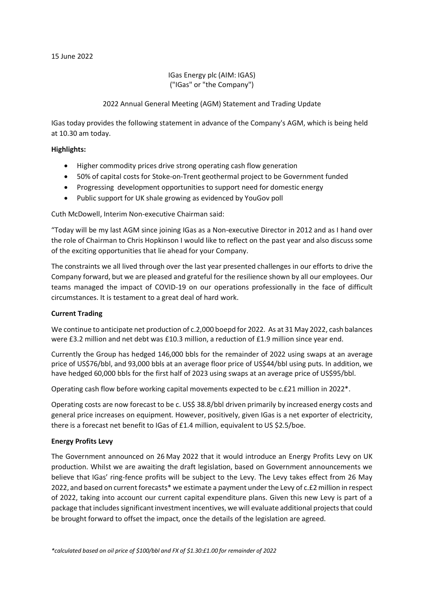IGas Energy plc (AIM: IGAS) ("IGas" or "the Company")

2022 Annual General Meeting (AGM) Statement and Trading Update

IGas today provides the following statement in advance of the Company's AGM, which is being held at 10.30 am today.

### **Highlights:**

- Higher commodity prices drive strong operating cash flow generation
- 50% of capital costs for Stoke-on-Trent geothermal project to be Government funded
- Progressing development opportunities to support need for domestic energy
- Public support for UK shale growing as evidenced by YouGov poll

Cuth McDowell, Interim Non-executive Chairman said:

"Today will be my last AGM since joining IGas as a Non-executive Director in 2012 and as I hand over the role of Chairman to Chris Hopkinson I would like to reflect on the past year and also discuss some of the exciting opportunities that lie ahead for your Company.

The constraints we all lived through over the last year presented challenges in our efforts to drive the Company forward, but we are pleased and grateful for the resilience shown by all our employees. Our teams managed the impact of COVID-19 on our operations professionally in the face of difficult circumstances. It is testament to a great deal of hard work.

### **Current Trading**

We continue to anticipate net production of c.2,000 boepd for 2022. As at 31 May 2022, cash balances were £3.2 million and net debt was £10.3 million, a reduction of £1.9 million since year end.

Currently the Group has hedged 146,000 bbls for the remainder of 2022 using swaps at an average price of US\$76/bbl, and 93,000 bbls at an average floor price of US\$44/bbl using puts. In addition, we have hedged 60,000 bbls for the first half of 2023 using swaps at an average price of US\$95/bbl.

Operating cash flow before working capital movements expected to be c.£21 million in 2022\*.

Operating costs are now forecast to be c. US\$ 38.8/bbl driven primarily by increased energy costs and general price increases on equipment. However, positively, given IGas is a net exporter of electricity, there is a forecast net benefit to IGas of £1.4 million, equivalent to US \$2.5/boe.

### **Energy Profits Levy**

The Government announced on 26 May 2022 that it would introduce an Energy Profits Levy on UK production. Whilst we are awaiting the draft legislation, based on Government announcements we believe that IGas' ring-fence profits will be subject to the Levy. The Levy takes effect from 26 May 2022, and based on current forecasts\* we estimate a payment under the Levy of c.£2 million in respect of 2022, taking into account our current capital expenditure plans. Given this new Levy is part of a package that includes significant investment incentives, we will evaluate additional projects that could be brought forward to offset the impact, once the details of the legislation are agreed.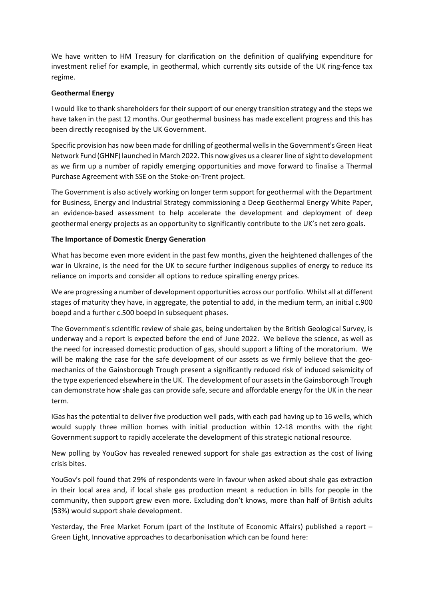We have written to HM Treasury for clarification on the definition of qualifying expenditure for investment relief for example, in geothermal, which currently sits outside of the UK ring-fence tax regime.

## **Geothermal Energy**

I would like to thank shareholders for their support of our energy transition strategy and the steps we have taken in the past 12 months. Our geothermal business has made excellent progress and this has been directly recognised by the UK Government.

Specific provision has now been made for drilling of geothermal wells in the Government's Green Heat Network Fund (GHNF) launched in March 2022. This now gives us a clearer line of sight to development as we firm up a number of rapidly emerging opportunities and move forward to finalise a Thermal Purchase Agreement with SSE on the Stoke-on-Trent project.

The Government is also actively working on longer term support for geothermal with the Department for Business, Energy and Industrial Strategy commissioning a Deep Geothermal Energy White Paper, an evidence-based assessment to help accelerate the development and deployment of deep geothermal energy projects as an opportunity to significantly contribute to the UK's net zero goals.

## **The Importance of Domestic Energy Generation**

What has become even more evident in the past few months, given the heightened challenges of the war in Ukraine, is the need for the UK to secure further indigenous supplies of energy to reduce its reliance on imports and consider all options to reduce spiralling energy prices.

We are progressing a number of development opportunities across our portfolio. Whilst all at different stages of maturity they have, in aggregate, the potential to add, in the medium term, an initial c.900 boepd and a further c.500 boepd in subsequent phases.

The Government's scientific review of shale gas, being undertaken by the British Geological Survey, is underway and a report is expected before the end of June 2022. We believe the science, as well as the need for increased domestic production of gas, should support a lifting of the moratorium. We will be making the case for the safe development of our assets as we firmly believe that the geomechanics of the Gainsborough Trough present a significantly reduced risk of induced seismicity of the type experienced elsewhere in the UK. The development of our assets in the Gainsborough Trough can demonstrate how shale gas can provide safe, secure and affordable energy for the UK in the near term.

IGas has the potential to deliver five production well pads, with each pad having up to 16 wells, which would supply three million homes with initial production within 12-18 months with the right Government support to rapidly accelerate the development of this strategic national resource.

New polling by YouGov has revealed renewed support for shale gas extraction as the cost of living crisis bites.

YouGov's poll found that 29% of respondents were in favour when asked about shale gas extraction in their local area and, if local shale gas production meant a reduction in bills for people in the community, then support grew even more. Excluding don't knows, more than half of British adults (53%) would support shale development.

Yesterday, the Free Market Forum (part of the Institute of Economic Affairs) published a report – Green Light, Innovative approaches to decarbonisation which can be found here: